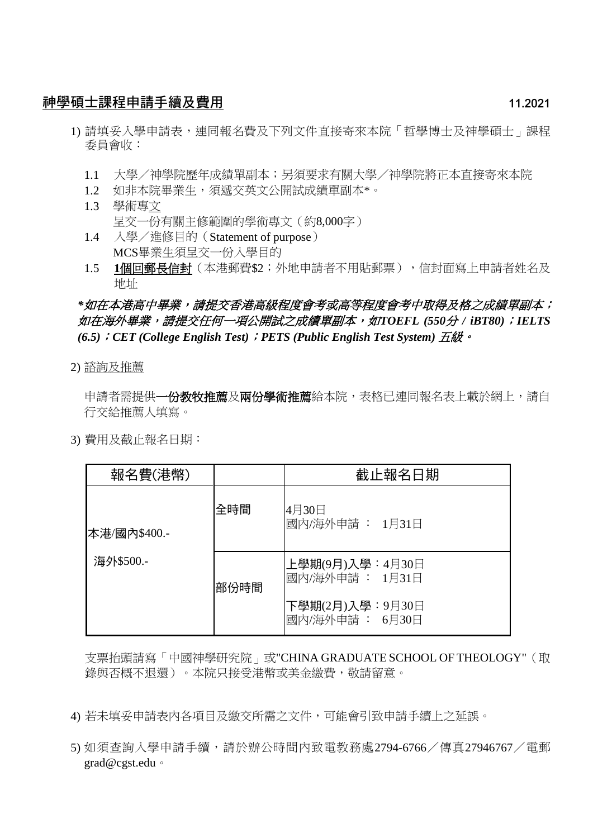## 神學碩士課程申請手續及費用 11.2021

- 1) 請填妥入學申請表,連同報名費及下列文件直接寄來本院「哲學博士及神學碩士」課程 委員會收:
	- 1.1 大學/神學院歷年成績單副本;另須要求有關大學/神學院將正本直接寄來本院
	- 1.2 如非本院畢業生,須遞交英文公開試成績單副本\*。
	- 1.3 學術專文 呈交一份有關主修範圍的學術專文(約8,000字)
	- 1.4 入學/進修目的(Statement of purpose) MCS畢業生須呈交一份入學目的
	- 1.5 **1**個回郵長信封(本港郵費\$2;外地申請者不用貼郵票),信封面寫上申請者姓名及 地址

# *\**如在本港高中畢業,請提交香港高級程度會考或高等程度會考中取得及格之成績單副本; 如在海外畢業,請提交任何一項公開試之成績單副本,如*TOEFL (550*分 */ iBT80)*;*IELTS (6.5)*;*CET (College English Test)*;*PETS (Public English Test System)* 五級。

2) 諮詢及推薦

申請者需提供**一份教牧推薦及兩份學術推薦**給本院,表格已連同報名表上載於網上,請自 行交給推薦人填寫。

3) 費用及截止報名日期:

| 報名費(港幣)                   |      | 截止報名日期                             |
|---------------------------|------|------------------------------------|
| 本港/國內\$400.-<br>海外\$500.- | 全時間  | 4月30日<br>國內/海外申請 : 1月31日           |
|                           | 部份時間 | 上學期(9月)入學:4月30日<br>國內/海外申請 : 1月31日 |
|                           |      | 下學期(2月)入學:9月30日<br>國內/海外申請: 6月30日  |

支票抬頭請寫「中國神學研究院」或"CHINA GRADUATE SCHOOL OF THEOLOGY"(取 錄與否概不退還)。本院只接受港幣或美金繳費,敬請留意。

- 4) 若未填妥申請表內各項目及繳交所需之文件,可能會引致申請手續上之延誤。
- 5) 如須查詢入學申請手續,請於辦公時間內致電教務處2794-6766/傳真27946767/電郵 grad@cgst.edu。